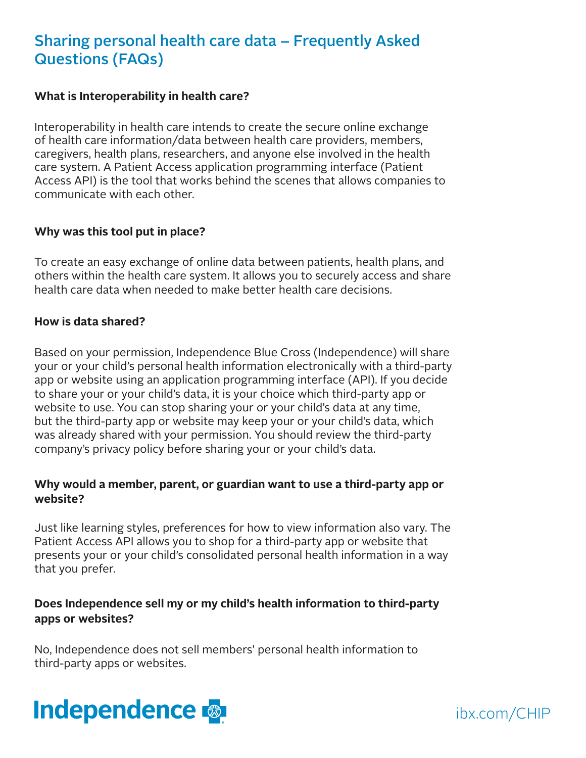# Sharing personal health care data – Frequently Asked Questions (FAQs)

#### **What is Interoperability in health care?**

Interoperability in health care intends to create the secure online exchange of health care information/data between health care providers, members, caregivers, health plans, researchers, and anyone else involved in the health care system. A Patient Access application programming interface (Patient Access API) is the tool that works behind the scenes that allows companies to communicate with each other.

### **Why was this tool put in place?**

To create an easy exchange of online data between patients, health plans, and others within the health care system. It allows you to securely access and share health care data when needed to make better health care decisions.

#### **How is data shared?**

Based on your permission, Independence Blue Cross (Independence) will share your or your child's personal health information electronically with a third-party app or website using an application programming interface (API). If you decide to share your or your child's data, it is your choice which third-party app or website to use. You can stop sharing your or your child's data at any time, but the third-party app or website may keep your or your child's data, which was already shared with your permission. You should review the third-party company's privacy policy before sharing your or your child's data.

## **Why would a member, parent, or guardian want to use a third-party app or website?**

Just like learning styles, preferences for how to view information also vary. The Patient Access API allows you to shop for a third-party app or website that presents your or your child's consolidated personal health information in a way that you prefer.

## **Does Independence sell my or my child's health information to third-party apps or websites?**

No, Independence does not sell members' personal health information to third-party apps or websites.



ibx.com/CHIP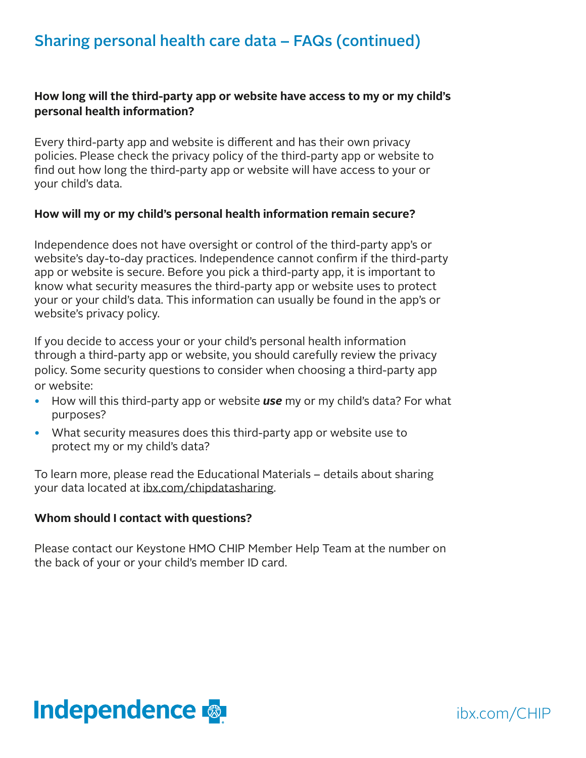# Sharing personal health care data – FAQs (continued)

## **How long will the third-party app or website have access to my or my child's personal health information?**

Every third-party app and website is different and has their own privacy policies. Please check the privacy policy of the third-party app or website to find out how long the third-party app or website will have access to your or your child's data.

### **How will my or my child's personal health information remain secure?**

Independence does not have oversight or control of the third-party app's or website's day-to-day practices. Independence cannot confirm if the third-party app or website is secure. Before you pick a third-party app, it is important to know what security measures the third-party app or website uses to protect your or your child's data. This information can usually be found in the app's or website's privacy policy.

If you decide to access your or your child's personal health information through a third-party app or website, you should carefully review the privacy policy. Some security questions to consider when choosing a third-party app or website:

- How will this third-party app or website *use* my or my child's data? For what purposes?
- What security measures does this third-party app or website use to protect my or my child's data?

To learn more, please read the Educational Materials – details about sharing your data located at [ibx.com/chipdatasharing](https://www.ibx.com/find-a-plan/individuals-and-families/ibx-health-plans/chip/member-resources).

## **Whom should I contact with questions?**

Please contact our Keystone HMO CHIP Member Help Team at the number on the back of your or your child's member ID card.



ibx.com/CHIP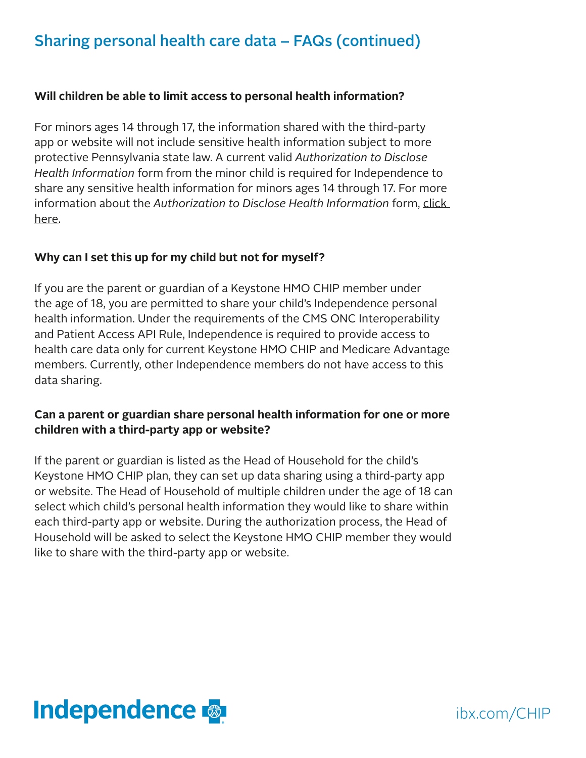# Sharing personal health care data – FAQs (continued)

## **Will children be able to limit access to personal health information?**

For minors ages 14 through 17, the information shared with the third-party app or website will not include sensitive health information subject to more protective Pennsylvania state law. A current valid *Authorization to Disclose Health Information* form from the minor child is required for Independence to share any sensitive health information for minors ages 14 through 17. For more information about the *Authorization to Disclose Health Information* form, [click](https://ibxpress.ibx.com/eAuthorizationWeb/authorization/showform)  [here](https://ibxpress.ibx.com/eAuthorizationWeb/authorization/showform).

## **Why can I set this up for my child but not for myself?**

If you are the parent or guardian of a Keystone HMO CHIP member under the age of 18, you are permitted to share your child's Independence personal health information. Under the requirements of the CMS ONC Interoperability and Patient Access API Rule, Independence is required to provide access to health care data only for current Keystone HMO CHIP and Medicare Advantage members. Currently, other Independence members do not have access to this data sharing.

# **Can a parent or guardian share personal health information for one or more children with a third-party app or website?**

If the parent or guardian is listed as the Head of Household for the child's Keystone HMO CHIP plan, they can set up data sharing using a third-party app or website. The Head of Household of multiple children under the age of 18 can select which child's personal health information they would like to share within each third-party app or website. During the authorization process, the Head of Household will be asked to select the Keystone HMO CHIP member they would like to share with the third-party app or website.



ibx.com/CHIP